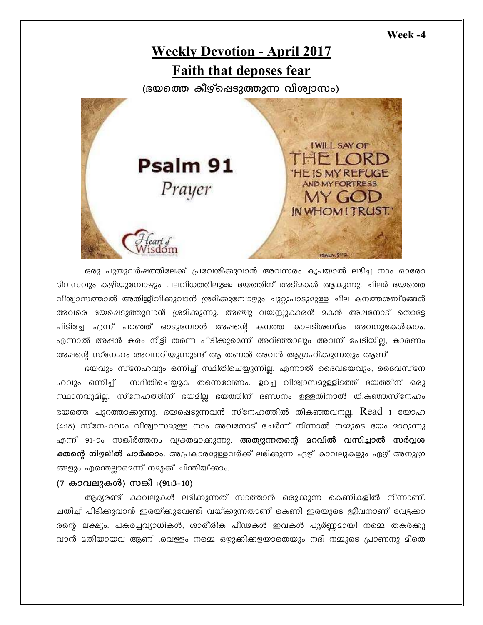Week -4



ഒരു പുതുവർഷത്തിലേക്ക് പ്രവേശിക്കുവാൻ അവസരം കൃപയാൽ ലഭിച്ച നാം ഓരോ ദിവസവും കഴിയുമ്പോഴും പലവിധത്തിലുള്ള ഭയത്തിന് അടിമകൾ ആകുന്നു. ചിലർ ഭയത്തെ വിശ്വാസത്താൽ അതിജീവിക്കുവാൻ ശ്രമിക്കുമ്പോഴും ചുറ്റുപാടുമുള്ള ചില കനത്തശബ്ദങ്ങൾ അവരെ ഭയപ്പെടുത്തുവാൻ ശ്രമിക്കുന്നു. അഞ്ചു വയസ്സുകാരൻ മകൻ അഷനോട് തൊട്ടേ പിടിച്ചേ എന്ന് പറഞ്ഞ് ഓടുമ്പോൾ അഷന്റെ കനത്ത കാലടിശബ്ദം അവനുകേൾക്കാം. എന്നാൽ അഷൻ കരം നീട്ടി തന്നെ പിടിക്കുമെന്ന് അറിഞ്ഞാലും അവന് പേടിയില്ല, കാരണം അഷന്റെ സ്നേഹം അവനറിയുന്നുണ്ട് ആ തണൽ അവൻ ആഗ്രഹിക്കുന്നതും ആണ്.

ഭയവും സ്നേഹവും ഒന്നിച്ച് സ്ഥിതിചെയ്യുന്നില്ല. എന്നാൽ ദൈവഭയവും, ദൈവസ്നേ സ്ഥിതിചെയ്യുക തന്നെവേണം. ഉറച്ച വിശ്വാസമുള്ളിടത്ത് ഭയത്തിന് ഒരു ഹവും ഒന്നിച്ച് സ്ഥാനവുദില്ല. സ്നേഹത്തിന് ഭയദില ഭയത്തിന് ദണ്ഡനം ഉള്ളതിനാൽ തികഞ്ഞസ്നേഹം ഭയത്തെ പുറത്താക്കുന്നു. ഭയപ്പെടുന്നവൻ സ്നേഹത്തിൽ തികഞ്ഞവനല്ല.  $\rm Read$   $_1$  യോഹ (4:18) സ്നേഹവും വിശ്വാസമുള്ള നാം അവനോട് ചേർന്ന് നിന്നാൽ നമ്മുടെ ഭയം മാറുന്നു എന്ന് 91-ാം സങ്കീർത്തനം വ്യക്തമാക്കുന്നു. **അത്യുന്നതന്റെ മറവിൽ വസിച്ചാൽ സർവ്വശ ക്തന്റെ നിഴലിൽ പാർക്കാം**. അപ്രകാരമുള്ളവർക്ക് ലഭിക്കുന്ന ഏഴ് കാവലുകളും ഏഴ് അനുഗ്ര ങ്ങളും എന്തെല്ലാമെന്ന് നമുക്ക് ചിന്തിയ്ക്കാം.

## (7 കാവലുകൾ) സങ്കീ :(91:3-10)

ആദ്യരണ്ട് കാവലുകൾ ലഭിക്കുന്നത് സാത്താൻ ഒരുക്കുന്ന കെണികളിൽ നിന്നാണ്. ചതിച്ച് പിടിക്കുവാൻ ഇരയ്ക്കുവേണ്ടി വയ്ക്കുന്നതാണ് കെണി ഇരയുടെ ജീവനാണ് വേട്ടക്കാ രന്റെ ലക്ഷ്യം. പകർച്ചവ്യാധികൾ, ശാരീരിക പീഢകൾ ഇവകൾ പൂർണ്ണമായി നമ്മെ തകർക്കു വാൻ മതിയായവ ആണ് .വെള്ളം നമ്മെ ഒഴുക്കിക്കളയാതെയും നദി നമ്മുടെ പ്രാണനു മീതെ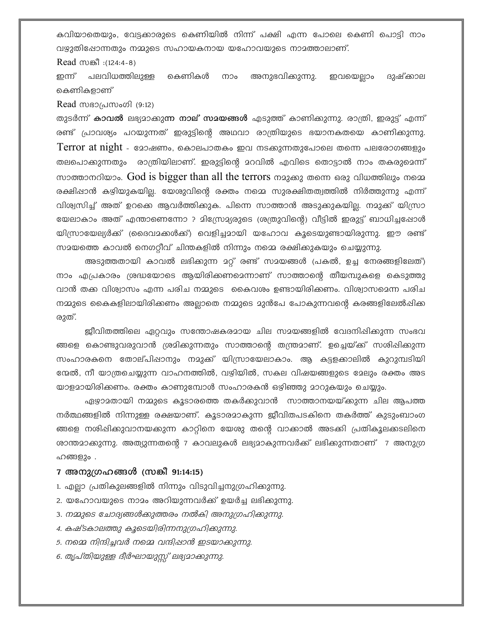കവിയാതെയും, വേട്ടക്കാരുടെ കെണിയിൽ നിന്ന് പക്ഷി എന്ന പോലെ കെണി പൊട്ടി നാം വഴുതിഷോന്നതും നമ്മുടെ സഹായകനായ യഹോവയുടെ നാമത്താലാണ്.

Read  $m$ കീ :(124:4-8)

ഇന്ന് പലവിധത്തിലുള്ള കെണികൾ നാം അനുഭവിക്കുന്നു. ഇവയെല്ലാം ദുഷ്കാല കെണികളാണ്

Read സഭാപ്രസംഗി (9:12)

തുടർന്ന് **കാവൽ** ലഭ്യമാക്കു**ന്ന നാല് സമയങ്ങൾ** എടുത്ത് കാണിക്കുന്നു. രാത്രി, ഇരുട്ട് എന്ന് രണ്ട് പ്രാവശ്യം പറയുന്നത് ഇരുട്ടിന്റെ അഥവാ രാത്രിയുടെ ഭയാനകതയെ കാണിക്കുന്നു.  $Term$ r at  $night$  - മോഷണം, കൊലപാതകം ഇവ നടക്കുന്നതുപോലെ തന്നെ പലരോഗങ്ങളും തലപൊക്കുന്നതും രാത്രിയിലാണ്. ഇരുട്ടിന്റെ മറവിൽ എവിടെ തൊട്ടാൽ നാം തകരുമെന്ന് സാത്താനറിയാം. God is bigger than all the terrors നമുക്കു തന്നെ ഒരു വിധത്തിലും നമെ രക്ഷിഷാൻ കഴിയുകയില്ല. യേശുവിന്റെ രക്തം നമ്മെ സുരക്ഷിതത്വത്തിൽ നിർത്തുന്നു എന്ന് വിശ്വസിച്ച് അത് ഉറക്കെ ആവർത്തിക്കുക. പിന്നെ സാത്താൻ അടുക്കുകയില്ല. നമുക്ക് യിസ്രാ യേലാകാം അത് എന്താണെന്നോ ? മിസ്രോദ്യരുടെ (ശത്രുവിന്റെ) വീട്ടിൽ ഇരുട്ട് ബാധിച്ചപ്പോൾ യിസ്രായേല്യർക്ക് (ദൈവമക്കൾക്ക്) വെളിച്ചമായി യഹോവ കൂടെയുണ്ടായിരുന്നു. ഈ രണ്ട് സമയത്തെ കാവൽ നെഗറ്റീവ് ചിന്തകളിൽ നിന്നും നമ്മെ രക്ഷിക്കുകയും ചെയ്യുന്നു.

അടുത്തതായി കാവൽ ലഭിക്കുന്ന മറ്റ് രണ്ട് സമയങ്ങൾ (പകൽ, ഉച്ച നേരങ്ങളിലേത്) നാം എപ്രകാരം ശ്രദ്ധയോടെ ആയിരിക്കണമെന്നാണ് സാത്താന്റെ തീയമ്പുകളെ കെടുത്തു വാൻ തക്ക വിശ്വാസം എന്ന പരിച നമ്മുടെ കൈവശം ഉണ്ടായിരിക്കണം. വിശ്വാസമെന്ന പരിച നമ്മുടെ കൈകളിലായിരിക്കണം അല്ലാതെ നമ്മുടെ മുൻപേ പോകുന്നവന്റെ കരങ്ങളിലേൽപ്പിക്ക രുത്.

ജീവിതത്തിലെ ഏറ്റവും സന്തോഷകരമായ ചില സമയങ്ങളിൽ വേദനിഷിക്കുന്ന സംഭവ ങ്ങളെ കൊണ്ടുവരുവാൻ ശ്രമിക്കുന്നതും സാത്താന്റെ തന്ത്രമാണ്. ഉച്ചെയ്ക്ക് സശിഷിക്കുന്ന സംഹാരകനെ തോല്പിഷാനും നമുക്ക് യിസ്രായേലാകാം. ആ കട്ടളക്കാലിൽ കുറുമ്പടിയി ന്മേൽ, നീ യാത്രചെയ്യുന്ന വാഹനത്തിൽ, വഴിയിൽ, സകല വിഷയങ്ങളുടെ മേലും രക്തം അട യാളമായിരിക്കണം. രക്തം കാണുമ്പോൾ സംഹാരകൻ ഒഴിഞ്ഞു മാറുകയും ചെയ്യും.

ഏഴ്യാമതായി നമ്മുടെ കൂടാരത്തെ തകർക്കുവാൻ സാത്താനയയ്ക്കുന്ന ചില ആപത്ത നർത്ഥങ്ങളിൽ നിന്നുള്ള രക്ഷയാണ്. കൂടാരമാകുന്ന ജീവിതപടകിനെ തകർത്ത് കുടുംബാംഗ ങ്ങളെ നശിപ്പിക്കുവാനയക്കുന്ന കാറ്റിനെ യേശു തന്റെ വാക്കാൽ അടക്കി പ്രതികൂലക്കടലിനെ ശാന്തമാക്കുന്നു. അത്യുന്നതന്റെ 7 കാവലുകൾ ലഭ്യമാകുന്നവർക്ക് ലഭിക്കുന്നതാണ് 7 അനുഗ്ര ഹങ്ങളും .

## 7 അനുഗ്രഹങ്ങൾ (സങ്കീ 91:14:15)

1. എല്ലാ പ്രതികുലങ്ങളിൽ നിന്നും വിടുവിച്ചനുഗ്രഹിക്കുന്നു.

- 2. യഹോവയുടെ നാമം അറിയുന്നവർക്ക് ഉയർച്ച ലഭിക്കുന്നു.
- 3. നമ്മുടെ ചോദ്യങ്ങൾക്കുത്തരം നൽകി അനുഗ്രഹിക്കുന്നു.
- 4. കഷ്ടകാലത്തു കൂടെയിരിന്നനുഗ്രഹിക്കുന്നു.
- 5. നമ്മെ നിന്ദിച്ചവർ നമ്മെ വന്ദിഷാൻ ഇടയാക്കുന്നു.
- 6. തൃപ്തിയുള്ള ദീർഘായുസ്സ് ലഭ്യമാക്കുന്നു.